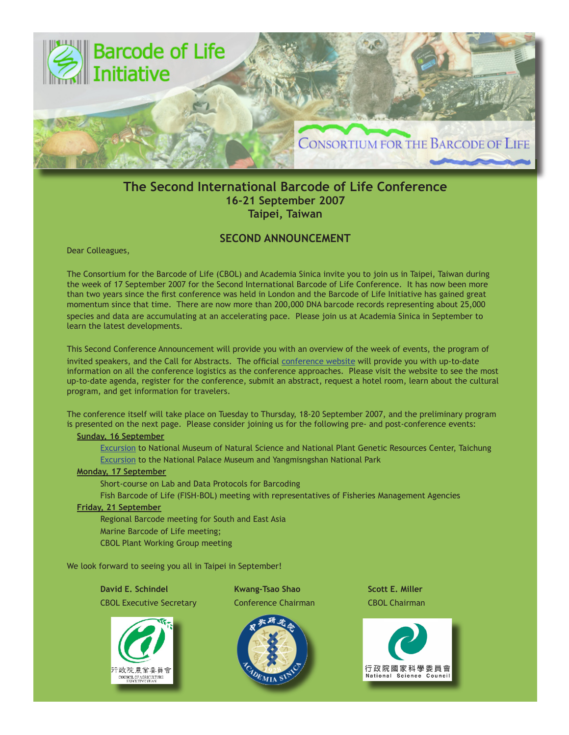

# **The Second International Barcode of Life Conference 16-21 September 2007 Taipei, Taiwan**

# **SECOND ANNOUNCEMENT**

Dear Colleagues,

The Consortium for the Barcode of Life (CBOL) and Academia Sinica invite you to join us in Taipei, Taiwan during the week of 17 September 2007 for the Second International Barcode of Life Conference. It has now been more than two years since the first conference was held in London and the Barcode of Life Initiative has gained great momentum since that time. There are now more than 200,000 DNA barcode records representing about 25,000 species and data are accumulating at an accelerating pace. Please join us at Academia Sinica in September to learn the latest developments.

This Second Conference Announcement will provide you with an overview of the week of events, the program of invited speakers, and the Call for Abstracts. The official [conference website](http://www.bolinfonet.org/conferences/index.php/conference/view/second-international-barcode-conference) will provide you with up-to-date information on all the conference logistics as the conference approaches. Please visit the website to see the most up-to-date agenda, register for the conference, submit an abstract, request a hotel room, learn about the cultural program, and get information for travelers.

The conference itself will take place on Tuesday to Thursday, 18-20 September 2007, and the preliminary program is presented on the next page. Please consider joining us for the following pre- and post-conference events:

### **[Sunday, 16 September](http://www.bolinfonet.org/conferences/assets/files/Excursions.pdf)**

[Excursion](http://www.bolinfonet.org/conferences/assets/files/Excursions.pdf) to National Museum of Natural Science and National Plant Genetic Resources Center, Taichung [Excursion](http://www.bolinfonet.org/conferences/assets/files/Excursions.pdf) to the National Palace Museum and Yangmisngshan National Park

#### **Monday, 17 September**

Short-course on Lab and Data Protocols for Barcoding

Fish Barcode of Life (FISH-BOL) meeting with representatives of Fisheries Management Agencies

### **Friday, 21 September**

Regional Barcode meeting for South and East Asia Marine Barcode of Life meeting; CBOL Plant Working Group meeting

We look forward to seeing you all in Taipei in September!



**David E. Schindel Kwang-Tsao Shao Shao Scott E. Miller** CBOL Executive Secretary Conference Chairman CBOL Chairman



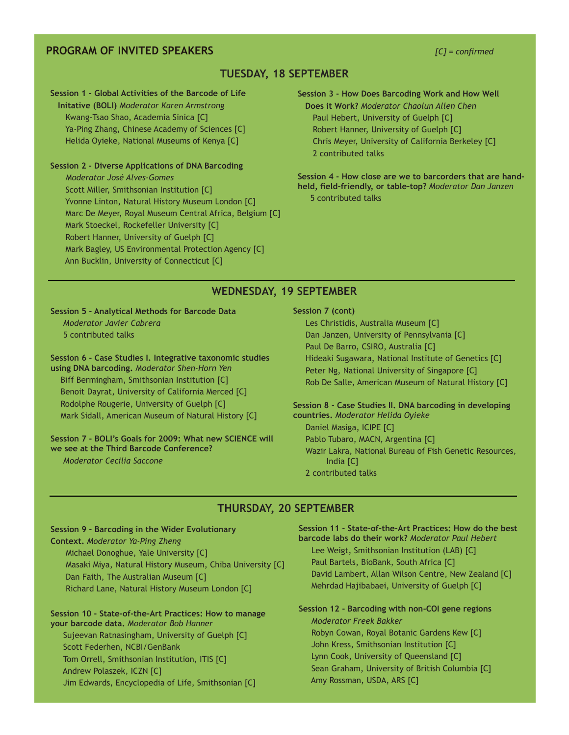## **PROGRAM OF INVITED SPEAKERS** *[C] = confirmed*

## **TUESDAY, 18 SEPTEMBER**

#### **Session 1 - Global Activities of the Barcode of Life**

 **Initative (BOLI)** *Moderator Karen Armstrong*  Kwang-Tsao Shao, Academia Sinica [C] Ya-Ping Zhang, Chinese Academy of Sciences [C] Helida Oyieke, National Museums of Kenya [C]

## **Session 2 - Diverse Applications of DNA Barcoding**  *Moderator José Alves-Gomes*  Scott Miller, Smithsonian Institution [C] Yvonne Linton, Natural History Museum London [C] Marc De Meyer, Royal Museum Central Africa, Belgium [C] Mark Stoeckel, Rockefeller University [C] Robert Hanner, University of Guelph [C] Mark Bagley, US Environmental Protection Agency [C] Ann Bucklin, University of Connecticut [C]

**Session 3 - How Does Barcoding Work and How Well Does it Work?** *Moderator Chaolun Allen Chen*  Paul Hebert, University of Guelph [C] Robert Hanner, University of Guelph [C] Chris Meyer, University of California Berkeley [C] 2 contributed talks

**Session 4 - How close are we to barcorders that are handheld, field-friendly, or table-top?** *Moderator Dan Janzen*  5 contributed talks

## **WEDNESDAY, 19 SEPTEMBER**

**Session 5 - Analytical Methods for Barcode Data**  *Moderator Javier Cabrera* 5 contributed talks

**Session 6 - Case Studies I. Integrative taxonomic studies using DNA barcoding.** *Moderator Shen-Horn Yen* Biff Bermingham, Smithsonian Institution [C] Benoit Dayrat, University of California Merced [C] Rodolphe Rougerie, University of Guelph [C] Mark Sidall, American Museum of Natural History [C]

#### **Session 7 - BOLI's Goals for 2009: What new SCIENCE will we see at the Third Barcode Conference?**

*Moderator Cecilia Saccone*

Ī

#### **Session 7 (cont)**

 Les Christidis, Australia Museum [C] Dan Janzen, University of Pennsylvania [C] Paul De Barro, CSIRO, Australia [C] Hideaki Sugawara, National Institute of Genetics [C] Peter Ng, National University of Singapore [C] Rob De Salle, American Museum of Natural History [C]

#### **Session 8 - Case Studies II. DNA barcoding in developing countries.** *Moderator Helida Oyieke* Daniel Masiga, ICIPE [C]

Pablo Tubaro, MACN, Argentina [C] Wazir Lakra, National Bureau of Fish Genetic Resources, India [C] 2 contributed talks

## **THURSDAY, 20 SEPTEMBER**

#### **Session 9 - Barcoding in the Wider Evolutionary**

**Context.** *Moderator Ya-Ping Zheng*

Michael Donoghue, Yale University [C]

 Masaki Miya, Natural History Museum, Chiba University [C] Dan Faith, The Australian Museum [C] Richard Lane, Natural History Museum London [C]

## **Session 10 - State-of-the-Art Practices: How to manage your barcode data.** *Moderator Bob Hanner*

 Sujeevan Ratnasingham, University of Guelph [C] Scott Federhen, NCBI/GenBank Tom Orrell, Smithsonian Institution, ITIS [C] Andrew Polaszek, ICZN [C] Jim Edwards, Encyclopedia of Life, Smithsonian [C] **Session 11 - State-of-the-Art Practices: How do the best barcode labs do their work?** *Moderator Paul Hebert* Lee Weigt, Smithsonian Institution (LAB) [C] Paul Bartels, BioBank, South Africa [C] David Lambert, Allan Wilson Centre, New Zealand [C]

Mehrdad Hajibabaei, University of Guelph [C]

# **Session 12 - Barcoding with non-COI gene regions**  *Moderator Freek Bakker*

 Robyn Cowan, Royal Botanic Gardens Kew [C] John Kress, Smithsonian Institution [C] Lynn Cook, University of Queensland [C] Sean Graham, University of British Columbia [C] Amy Rossman, USDA, ARS [C]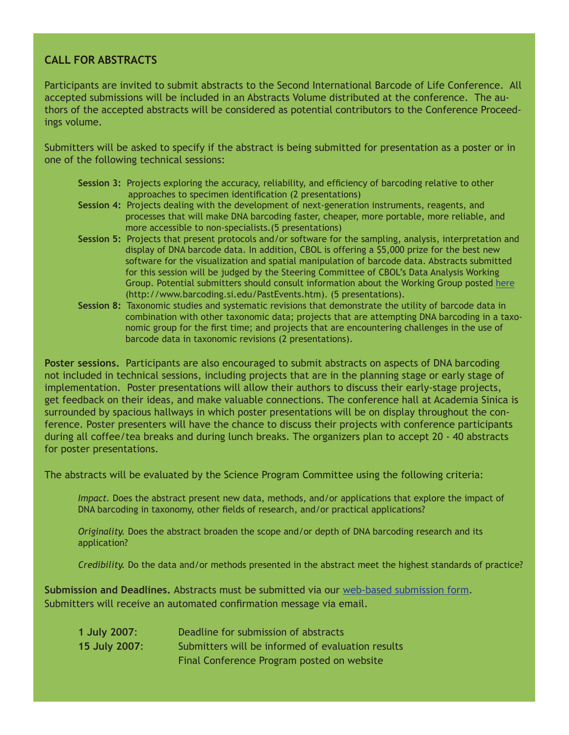# **CALL FOR ABSTRACTS**

Participants are invited to submit abstracts to the Second International Barcode of Life Conference. All accepted submissions will be included in an Abstracts Volume distributed at the conference. The authors of the accepted abstracts will be considered as potential contributors to the Conference Proceedings volume.

Submitters will be asked to specify if the abstract is being submitted for presentation as a poster or in one of the following technical sessions:

- **Session 3:** Projects exploring the accuracy, reliability, and efficiency of barcoding relative to other approaches to specimen identification (2 presentations)
- **Session 4:** Projects dealing with the development of next-generation instruments, reagents, and processes that will make DNA barcoding faster, cheaper, more portable, more reliable, and more accessible to non-specialists.(5 presentations)
- **Session 5:** Projects that present protocols and/or software for the sampling, analysis, interpretation and display of DNA barcode data. In addition, CBOL is offering a \$5,000 prize for the best new software for the visualization and spatial manipulation of barcode data. Abstracts submitted for this session will be judged by the Steering Committee of CBOL's Data Analysis Working Group. Potential submitters should consult information about the Working Group posted [here](http://www.barcoding.si.edu/PastEvents.htm) (http://www.barcoding.si.edu/PastEvents.htm). (5 presentations).
- **Session 8:** Taxonomic studies and systematic revisions that demonstrate the utility of barcode data in combination with other taxonomic data; projects that are attempting DNA barcoding in a taxo nomic group for the first time; and projects that are encountering challenges in the use of barcode data in taxonomic revisions (2 presentations).

**Poster sessions.** Participants are also encouraged to submit abstracts on aspects of DNA barcoding not included in technical sessions, including projects that are in the planning stage or early stage of implementation. Poster presentations will allow their authors to discuss their early-stage projects, get feedback on their ideas, and make valuable connections. The conference hall at Academia Sinica is surrounded by spacious hallways in which poster presentations will be on display throughout the conference. Poster presenters will have the chance to discuss their projects with conference participants during all coffee/tea breaks and during lunch breaks. The organizers plan to accept 20 - 40 abstracts for poster presentations.

The abstracts will be evaluated by the Science Program Committee using the following criteria:

*Impact.* Does the abstract present new data, methods, and/or applications that explore the impact of DNA barcoding in taxonomy, other fields of research, and/or practical applications?

*Originality.* Does the abstract broaden the scope and/or depth of DNA barcoding research and its application?

*Credibility.* Do the data and/or methods presented in the abstract meet the highest standards of practice?

**Submission and Deadlines.** Abstracts must be submitted via our [web-based submission form.](http://www.bolinfonet.org/conferences/index.php/form/submission/3) Submitters will receive an automated confirmation message via email.

| 1 July 2007:  | Deadline for submission of abstracts              |
|---------------|---------------------------------------------------|
| 15 July 2007: | Submitters will be informed of evaluation results |
|               | Final Conference Program posted on website        |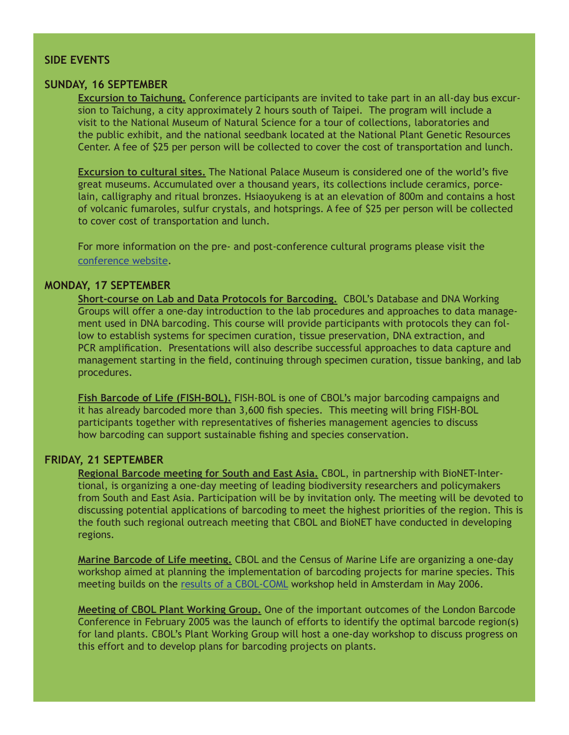# **SIDE EVENTS**

## **SUNDAY, 16 SEPTEMBER**

**Excursion to Taichung.** Conference participants are invited to take part in an all-day bus excursion to Taichung, a city approximately 2 hours south of Taipei. The program will include a visit to the National Museum of Natural Science for a tour of collections, laboratories and the public exhibit, and the national seedbank located at the National Plant Genetic Resources Center. A fee of \$25 per person will be collected to cover the cost of transportation and lunch.

**Excursion to cultural sites.** The National Palace Museum is considered one of the world's five great museums. Accumulated over a thousand years, its collections include ceramics, porcelain, calligraphy and ritual bronzes. Hsiaoyukeng is at an elevation of 800m and contains a host of volcanic fumaroles, sulfur crystals, and hotsprings. A fee of \$25 per person will be collected to cover cost of transportation and lunch.

For more information on the pre- and post-conference cultural programs please visit the [conference website.](http://www.bolinfonet.org/conferences/index.php/conference/view/second-international-barcode-conference)

# **MONDAY, 17 SEPTEMBER**

**Short-course on Lab and Data Protocols for Barcoding.** CBOL's Database and DNA Working Groups will offer a one-day introduction to the lab procedures and approaches to data management used in DNA barcoding. This course will provide participants with protocols they can follow to establish systems for specimen curation, tissue preservation, DNA extraction, and PCR amplification. Presentations will also describe successful approaches to data capture and management starting in the field, continuing through specimen curation, tissue banking, and lab procedures.

**Fish Barcode of Life (FISH-BOL).** FISH-BOL is one of CBOL's major barcoding campaigns and it has already barcoded more than 3,600 fish species. This meeting will bring FISH-BOL participants together with representatives of fisheries management agencies to discuss how barcoding can support sustainable fishing and species conservation.

# **FRIDAY, 21 SEPTEMBER**

**Regional Barcode meeting for South and East Asia.** CBOL, in partnership with BioNET-Intertional, is organizing a one-day meeting of leading biodiversity researchers and policymakers from South and East Asia. Participation will be by invitation only. The meeting will be devoted to discussing potential applications of barcoding to meet the highest priorities of the region. This is the fouth such regional outreach meeting that CBOL and BioNET have conducted in developing regions.

**Marine Barcode of Life meeting.** CBOL and the Census of Marine Life are organizing a one-day workshop aimed at planning the implementation of barcoding projects for marine species. This meeting builds on the [results of a CBOL-COML](http://barcoding.si.edu/PDF/CoML%20Workshop%20Report%20-%20FINAL.pdf) [workshop](http://www.bolinfonet.org/conferences/assets/files/Excursions.pdf) held in Amsterdam in May 2006.

**Meeting of CBOL Plant Working Group.** One of the important outcomes of the London Barcode Conference in February 2005 was the launch of efforts to identify the optimal barcode region(s) for land plants. CBOL's Plant Working Group will host a one-day workshop to discuss progress on this effort and to develop plans for barcoding projects on plants.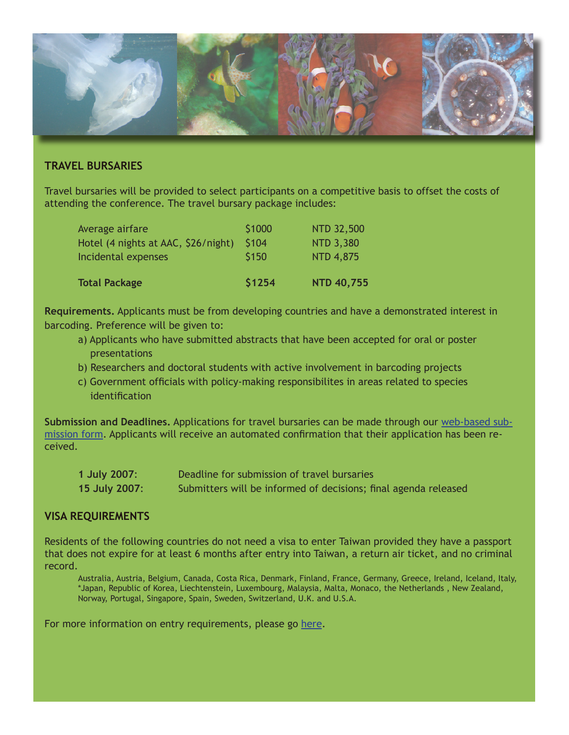

# **TRAVEL BURSARIES**

Travel bursaries will be provided to select participants on a competitive basis to offset the costs of attending the conference. The travel bursary package includes:

| <b>Total Package</b>                | \$1254 | <b>NTD 40,755</b> |
|-------------------------------------|--------|-------------------|
| Incidental expenses                 | \$150  | <b>NTD 4,875</b>  |
| Hotel (4 nights at AAC, \$26/night) | \$104  | <b>NTD 3,380</b>  |
| Average airfare                     | \$1000 | <b>NTD 32,500</b> |

**Requirements.** Applicants must be from developing countries and have a demonstrated interest in barcoding. Preference will be given to:

- a) Applicants who have submitted abstracts that have been accepted for oral or poster presentations
- b) Researchers and doctoral students with active involvement in barcoding projects
- c) Government officials with policy-making responsibilites in areas related to species identification

**Submission and Deadlines.** Applications for travel bursaries can be made through our [web-based sub](http://www.bolinfonet.org/conferences/index.php/form/submission/4)[mission form](http://www.bolinfonet.org/conferences/index.php/form/submission/4). Applicants will receive an automated confirmation that their application has been received.

| 1 July 2007:  | Deadline for submission of travel bursaries                     |
|---------------|-----------------------------------------------------------------|
| 15 July 2007: | Submitters will be informed of decisions; final agenda released |

# **VISA REQUIREMENTS**

Residents of the following countries do not need a visa to enter Taiwan provided they have a passport that does not expire for at least 6 months after entry into Taiwan, a return air ticket, and no criminal record.

Australia, Austria, Belgium, Canada, Costa Rica, Denmark, Finland, France, Germany, Greece, Ireland, Iceland, Italy, \*Japan, Republic of Korea, Liechtenstein, Luxembourg, Malaysia, Malta, Monaco, the Netherlands , New Zealand, Norway, Portugal, Singapore, Spain, Sweden, Switzerland, U.K. and U.S.A.

For more information on entry requirements, please go [here.](http://www.boca.gov.tw/mp.asp?mp=2)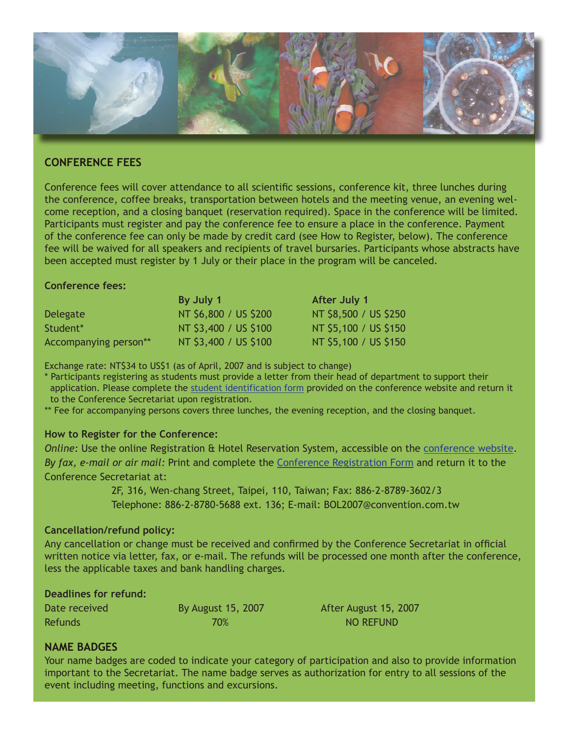

# **CONFERENCE FEES**

Conference fees will cover attendance to all scientific sessions, conference kit, three lunches during the conference, coffee breaks, transportation between hotels and the meeting venue, an evening welcome reception, and a closing banquet (reservation required). Space in the conference will be limited. Participants must register and pay the conference fee to ensure a place in the conference. Payment of the conference fee can only be made by credit card (see How to Register, below). The conference fee will be waived for all speakers and recipients of travel bursaries. Participants whose abstracts have been accepted must register by 1 July or their place in the program will be canceled.

## **Conference fees:**

|                       | By July 1             | After July 1          |
|-----------------------|-----------------------|-----------------------|
| Delegate              | NT \$6,800 / US \$200 | NT \$8,500 / US \$250 |
| Student*              | NT \$3,400 / US \$100 | NT \$5,100 / US \$150 |
| Accompanying person** | NT \$3,400 / US \$100 | NT \$5,100 / US \$150 |

Exchange rate: NT\$34 to US\$1 (as of April, 2007 and is subject to change)

\* Participants registering as students must provide a letter from their head of department to support their application. Please complete the [student identification form](http://www.bolinfonet.org/conferences/assets/files/Student_identification_form.pdf) provided on the conference website and return it to the Conference Secretariat upon registration.

\*\* Fee for accompanying persons covers three lunches, the evening reception, and the closing banquet.

# **How to Register for the Conference:**

*Online:* Use the online Registration & Hotel Reservation System, accessible on the [conference website.](http://www.bolinfonet.org/conferences/index.php/conference/view/second-international-barcode-conference) *By fax, e-mail or air mail:* Print and complete the [Conference Registration Form](http://www.bolinfonet.org/conferences/assets/files/Conference_Registration_Form.pdf) and return it to the Conference Secretariat at:

> 2F, 316, Wen-chang Street, Taipei, 110, Taiwan; Fax: 886-2-8789-3602/3 Telephone: 886-2-8780-5688 ext. 136; E-mail: BOL2007@convention.com.tw

## **Cancellation/refund policy:**

Any cancellation or change must be received and confirmed by the Conference Secretariat in official written notice via letter, fax, or e-mail. The refunds will be processed one month after the conference, less the applicable taxes and bank handling charges.

# **Deadlines for refund:**

| Date received  | By August 15, 2007 |
|----------------|--------------------|
| <b>Refunds</b> | 70%                |

After August 15, 2007 **NO REFUND** 

# **NAME BADGES**

Your name badges are coded to indicate your category of participation and also to provide information important to the Secretariat. The name badge serves as authorization for entry to all sessions of the event including meeting, functions and excursions.